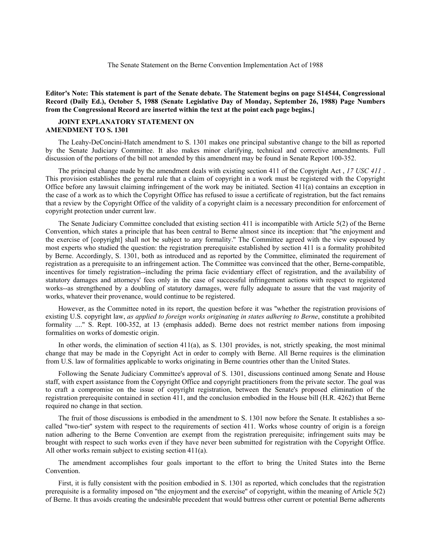**Editor's Note: This statement is part of the Senate debate. The Statement begins on page S14544, Congressional Record (Daily Ed.), October 5, 1988 (Senate Legislative Day of Monday, September 26, 1988) Page Numbers from the Congressional Record are inserted within the text at the point each page begins.]**

## **JOINT EXPLANATORY STATEMENT ON AMENDMENT TO S. 1301**

The Leahy-DeConcini-Hatch amendment to S. 1301 makes one principal substantive change to the bill as reported by the Senate Judiciary Committee. It also makes minor clarifying, technical and corrective amendments. Full discussion of the portions of the bill not amended by this amendment may be found in Senate Report 100-352.

The principal change made by the amendment deals with existing section 411 of the Copyright Act , *17 USC 411* . This provision establishes the general rule that a claim of copyright in a work must be registered with the Copyright Office before any lawsuit claiming infringement of the work may be initiated. Section  $411(a)$  contains an exception in the case of a work as to which the Copyright Office has refused to issue a certificate of registration, but the fact remains that a review by the Copyright Office of the validity of a copyright claim is a necessary precondition for enforcement of copyright protection under current law.

The Senate Judiciary Committee concluded that existing section 411 is incompatible with Article 5(2) of the Berne Convention, which states a principle that has been central to Berne almost since its inception: that ''the enjoyment and the exercise of [copyright] shall not be subject to any formality.'' The Committee agreed with the view espoused by most experts who studied the question: the registration prerequisite established by section 411 is a formality prohibited by Berne. Accordingly, S. 1301, both as introduced and as reported by the Committee, eliminated the requirement of registration as a prerequisite to an infringement action. The Committee was convinced that the other, Berne-compatible, incentives for timely registration--including the prima facie evidentiary effect of registration, and the availability of statutory damages and attorneys' fees only in the case of successful infringement actions with respect to registered works--as strengthened by a doubling of statutory damages, were fully adequate to assure that the vast majority of works, whatever their provenance, would continue to be registered.

However, as the Committee noted in its report, the question before it was ''whether the registration provisions of existing U.S. copyright law, *as applied to foreign works originating in states adhering to Berne*, constitute a prohibited formality ....'' S. Rept. 100-352, at 13 (emphasis added). Berne does not restrict member nations from imposing formalities on works of domestic origin.

In other words, the elimination of section  $411(a)$ , as S. 1301 provides, is not, strictly speaking, the most minimal change that may be made in the Copyright Act in order to comply with Berne. All Berne requires is the elimination from U.S. law of formalities applicable to works originating in Berne countries other than the United States.

Following the Senate Judiciary Committee's approval of S. 1301, discussions continued among Senate and House staff, with expert assistance from the Copyright Office and copyright practitioners from the private sector. The goal was to craft a compromise on the issue of copyright registration, between the Senate's proposed elimination of the registration prerequisite contained in section 411, and the conclusion embodied in the House bill (H.R. 4262) that Berne required no change in that section.

The fruit of those discussions is embodied in the amendment to S. 1301 now before the Senate. It establishes a socalled ''two-tier'' system with respect to the requirements of section 411. Works whose country of origin is a foreign nation adhering to the Berne Convention are exempt from the registration prerequisite; infringement suits may be brought with respect to such works even if they have never been submitted for registration with the Copyright Office. All other works remain subject to existing section 411(a).

The amendment accomplishes four goals important to the effort to bring the United States into the Berne Convention.

First, it is fully consistent with the position embodied in S. 1301 as reported, which concludes that the registration prerequisite is a formality imposed on ''the enjoyment and the exercise'' of copyright, within the meaning of Article 5(2) of Berne. It thus avoids creating the undesirable precedent that would buttress other current or potential Berne adherents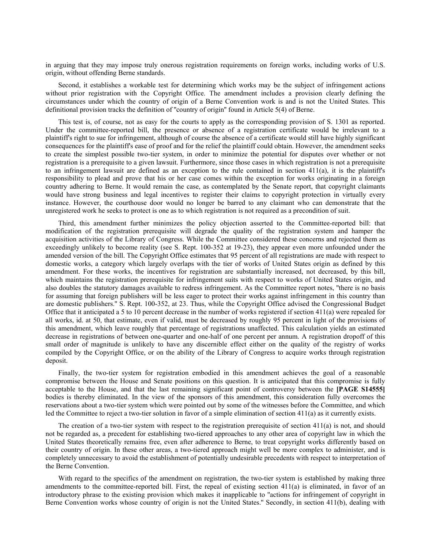in arguing that they may impose truly onerous registration requirements on foreign works, including works of U.S. origin, without offending Berne standards.

Second, it establishes a workable test for determining which works may be the subject of infringement actions without prior registration with the Copyright Office. The amendment includes a provision clearly defining the circumstances under which the country of origin of a Berne Convention work is and is not the United States. This definitional provision tracks the definition of ''country of origin'' found in Article 5(4) of Berne.

This test is, of course, not as easy for the courts to apply as the corresponding provision of S. 1301 as reported. Under the committee-reported bill, the presence or absence of a registration certificate would be irrelevant to a plaintiff's right to sue for infringement, although of course the absence of a certificate would still have highly significant consequences for the plaintiff's ease of proof and for the relief the plaintiff could obtain. However, the amendment seeks to create the simplest possible two-tier system, in order to minimize the potential for disputes over whether or not registration is a prerequisite to a given lawsuit. Furthermore, since those cases in which registration is not a prerequisite to an infringement lawsuit are defined as an exception to the rule contained in section 411(a), it is the plaintiff's responsibility to plead and prove that his or her case comes within the exception for works originating in a foreign country adhering to Berne. It would remain the case, as contemplated by the Senate report, that copyright claimants would have strong business and legal incentives to register their claims to copyright protection in virtually every instance. However, the courthouse door would no longer be barred to any claimant who can demonstrate that the unregistered work he seeks to protect is one as to which registration is not required as a precondition of suit.

Third, this amendment further minimizes the policy objection asserted to the Committee-reported bill: that modification of the registration prerequisite will degrade the quality of the registration system and hamper the acquisition activities of the Library of Congress. While the Committee considered these concerns and rejected them as exceedingly unlikely to become reality (see S. Rept. 100-352 at 19-23), they appear even more unfounded under the amended version of the bill. The Copyright Office estimates that 95 percent of all registrations are made with respect to domestic works, a category which largely overlaps with the tier of works of United States origin as defined by this amendment. For these works, the incentives for registration are substantially increased, not decreased, by this bill, which maintains the registration prerequisite for infringement suits with respect to works of United States origin, and also doubles the statutory damages available to redress infringement. As the Committee report notes, ''there is no basis for assuming that foreign publishers will be less eager to protect their works against infringement in this country than are domestic publishers.'' S. Rept. 100-352, at 23. Thus, while the Copyright Office advised the Congressional Budget Office that it anticipated a 5 to 10 percent decrease in the number of works registered if section 411(a) were repealed for all works, id. at 50, that estimate, even if valid, must be decreased by roughly 95 percent in light of the provisions of this amendment, which leave roughly that percentage of registrations unaffected. This calculation yields an estimated decrease in registrations of between one-quarter and one-half of one percent per annum. A registration dropoff of this small order of magnitude is unlikely to have any discernible effect either on the quality of the registry of works compiled by the Copyright Office, or on the ability of the Library of Congress to acquire works through registration deposit.

Finally, the two-tier system for registration embodied in this amendment achieves the goal of a reasonable compromise between the House and Senate positions on this question. It is anticipated that this compromise is fully acceptable to the House, and that the last remaining significant point of controversy between the **[PAGE S14555]** bodies is thereby eliminated. In the view of the sponsors of this amendment, this consideration fully overcomes the reservations about a two-tier system which were pointed out by some of the witnesses before the Committee, and which led the Committee to reject a two-tier solution in favor of a simple elimination of section 411(a) as it currently exists.

The creation of a two-tier system with respect to the registration prerequisite of section 411(a) is not, and should not be regarded as, a precedent for establishing two-tiered approaches to any other area of copyright law in which the United States theoretically remains free, even after adherence to Berne, to treat copyright works differently based on their country of origin. In these other areas, a two-tiered approach might well be more complex to administer, and is completely unnecessary to avoid the establishment of potentially undesirable precedents with respect to interpretation of the Berne Convention.

With regard to the specifics of the amendment on registration, the two-tier system is established by making three amendments to the committee-reported bill. First, the repeal of existing section 411(a) is eliminated, in favor of an introductory phrase to the existing provision which makes it inapplicable to ''actions for infringement of copyright in Berne Convention works whose country of origin is not the United States.'' Secondly, in section 411(b), dealing with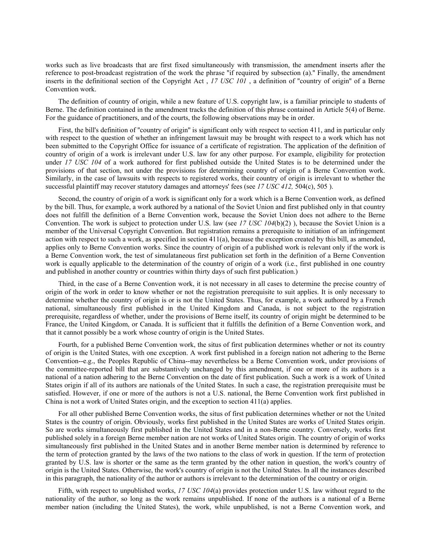works such as live broadcasts that are first fixed simultaneously with transmission, the amendment inserts after the reference to post-broadcast registration of the work the phrase ''if required by subsection (a).'' Finally, the amendment inserts in the definitional section of the Copyright Act , *17 USC 101* , a definition of ''country of origin'' of a Berne Convention work.

The definition of country of origin, while a new feature of U.S. copyright law, is a familiar principle to students of Berne. The definition contained in the amendment tracks the definition of this phrase contained in Article 5(4) of Berne. For the guidance of practitioners, and of the courts, the following observations may be in order.

First, the bill's definition of ''country of origin'' is significant only with respect to section 411, and in particular only with respect to the question of whether an infringement lawsuit may be brought with respect to a work which has not been submitted to the Copyright Office for issuance of a certificate of registration. The application of the definition of country of origin of a work is irrelevant under U.S. law for any other purpose. For example, eligibility for protection under *17 USC 104* of a work authored for first published outside the United States is to be determined under the provisions of that section, not under the provisions for determining country of origin of a Berne Convention work. Similarly, in the case of lawsuits with respects to registered works, their country of origin is irrelevant to whether the successful plaintiff may recover statutory damages and attorneys' fees (see *17 USC 412,* 504(c), 505 ).

Second, the country of origin of a work is significant only for a work which is a Berne Convention work, as defined by the bill. Thus, for example, a work authored by a national of the Soviet Union and first published only in that country does not fulfill the definition of a Berne Convention work, because the Soviet Union does not adhere to the Berne Convention. The work is subject to protection under U.S. law (see *17 USC 104*(b)(2) ), because the Soviet Union is a member of the Universal Copyright Convention. But registration remains a prerequisite to initiation of an infringement action with respect to such a work, as specified in section  $411(a)$ , because the exception created by this bill, as amended, applies only to Berne Convention works. Since the country of origin of a published work is relevant only if the work is a Berne Convention work, the test of simulataneous first publication set forth in the definition of a Berne Convention work is equally applicable to the determination of the country of origin of a work (i.e., first published in one country and published in another country or countries within thirty days of such first publication.)

Third, in the case of a Berne Convention work, it is not necessary in all cases to determine the precise country of origin of the work in order to know whether or not the registration prerequisite to suit applies. It is only necessary to determine whether the country of origin is or is not the United States. Thus, for example, a work authored by a French national, simultaneously first published in the United Kingdom and Canada, is not subject to the registration prerequisite, regardless of whether, under the provisions of Berne itself, its country of origin might be determined to be France, the United Kingdom, or Canada. It is sufficient that it fulfills the definition of a Berne Convention work, and that it cannot possibly be a work whose country of origin is the United States.

Fourth, for a published Berne Convention work, the situs of first publication determines whether or not its country of origin is the United States, with one exception. A work first published in a foreign nation not adhering to the Berne Convention--e.g., the Peoples Republic of China--may nevertheless be a Berne Convention work, under provisions of the committee-reported bill that are substantively unchanged by this amendment, if one or more of its authors is a national of a nation adhering to the Berne Convention on the date of first publication. Such a work is a work of United States origin if all of its authors are nationals of the United States. In such a case, the registration prerequisite must be satisfied. However, if one or more of the authors is not a U.S. national, the Berne Convention work first published in China is not a work of United States origin, and the exception to section 411(a) applies.

For all other published Berne Convention works, the situs of first publication determines whether or not the United States is the country of origin. Obviously, works first published in the United States are works of United States origin. So are works simultaneously first published in the United States and in a non-Berne country. Conversely, works first published solely in a foreign Berne member nation are not works of United States origin. The country of origin of works simultaneously first published in the United States and in another Berne member nation is determined by reference to the term of protection granted by the laws of the two nations to the class of work in question. If the term of protection granted by U.S. law is shorter or the same as the term granted by the other nation in question, the work's country of origin is the United States. Otherwise, the work's country of origin is not the United States. In all the instances described in this paragraph, the nationality of the author or authors is irrelevant to the determination of the country or origin.

Fifth, with respect to unpublished works, *17 USC 104*(a) provides protection under U.S. law without regard to the nationality of the author, so long as the work remains unpublished. If none of the authors is a national of a Berne member nation (including the United States), the work, while unpublished, is not a Berne Convention work, and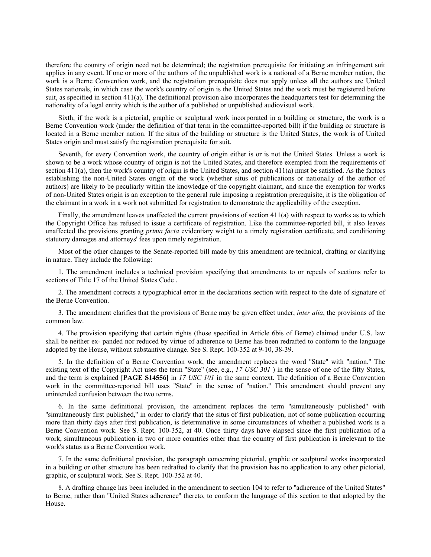therefore the country of origin need not be determined; the registration prerequisite for initiating an infringement suit applies in any event. If one or more of the authors of the unpublished work is a national of a Berne member nation, the work is a Berne Convention work, and the registration prerequisite does not apply unless all the authors are United States nationals, in which case the work's country of origin is the United States and the work must be registered before suit, as specified in section 411(a). The definitional provision also incorporates the headquarters test for determining the nationality of a legal entity which is the author of a published or unpublished audiovisual work.

Sixth, if the work is a pictorial, graphic or sculptural work incorporated in a building or structure, the work is a Berne Convention work (under the definition of that term in the committee-reported bill) if the building or structure is located in a Berne member nation. If the situs of the building or structure is the United States, the work is of United States origin and must satisfy the registration prerequisite for suit.

Seventh, for every Convention work, the country of origin either is or is not the United States. Unless a work is shown to be a work whose country of origin is not the United States, and therefore exempted from the requirements of section 411(a), then the work's country of origin is the United States, and section 411(a) must be satisfied. As the factors establishing the non-United States origin of the work (whether situs of publications or nationally of the author of authors) are likely to be peculiarly within the knowledge of the copyright claimant, and since the exemption for works of non-United States origin is an exception to the general rule imposing a registration prerequisite, it is the obligation of the claimant in a work in a work not submitted for registration to demonstrate the applicability of the exception.

Finally, the amendment leaves unaffected the current provisions of section 411(a) with respect to works as to which the Copyright Office has refused to issue a certificate of registration. Like the committee-reported bill, it also leaves unaffected the provisions granting *prima facia* evidentiary weight to a timely registration certificate, and conditioning statutory damages and attorneys' fees upon timely registration.

Most of the other changes to the Senate-reported bill made by this amendment are technical, drafting or clarifying in nature. They include the following:

1. The amendment includes a technical provision specifying that amendments to or repeals of sections refer to sections of Title 17 of the United States Code .

2. The amendment corrects a typographical error in the declarations section with respect to the date of signature of the Berne Convention.

3. The amendment clarifies that the provisions of Berne may be given effect under, *inter alia*, the provisions of the common law.

4. The provision specifying that certain rights (those specified in Article 6bis of Berne) claimed under U.S. law shall be neither ex- panded nor reduced by virtue of adherence to Berne has been redrafted to conform to the language adopted by the House, without substantive change. See S. Rept. 100-352 at 9-10, 38-39.

5. In the definition of a Berne Convention work, the amendment replaces the word ''State'' with ''nation.'' The existing text of the Copyright Act uses the term "State" (see, e.g., 17 USC 301) in the sense of one of the fifty States, and the term is explained **[PAGE S14556]** in *17 USC 101* in the same context. The definition of a Berne Convention work in the committee-reported bill uses "State" in the sense of "nation." This amendment should prevent any unintended confusion between the two terms.

6. In the same definitional provision, the amendment replaces the term ''simultaneously published'' with ''simultaneously first published,'' in order to clarify that the situs of first publication, not of some publication occurring more than thirty days after first publication, is determinative in some circumstances of whether a published work is a Berne Convention work. See S. Rept. 100-352, at 40. Once thirty days have elapsed since the first publication of a work, simultaneous publication in two or more countries other than the country of first publication is irrelevant to the work's status as a Berne Convention work.

7. In the same definitional provision, the paragraph concerning pictorial, graphic or sculptural works incorporated in a building or other structure has been redrafted to clarify that the provision has no application to any other pictorial, graphic, or sculptural work. See S. Rept. 100-352 at 40.

8. A drafting change has been included in the amendment to section 104 to refer to ''adherence of the United States'' to Berne, rather than ''United States adherence'' thereto, to conform the language of this section to that adopted by the House.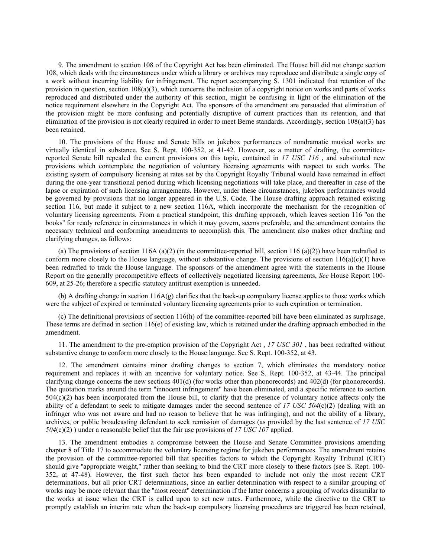9. The amendment to section 108 of the Copyright Act has been eliminated. The House bill did not change section 108, which deals with the circumstances under which a library or archives may reproduce and distribute a single copy of a work without incurring liability for infringement. The report accompanying S. 1301 indicated that retention of the provision in question, section  $108(a)(3)$ , which concerns the inclusion of a copyright notice on works and parts of works reproduced and distributed under the authority of this section, might be confusing in light of the elimination of the notice requirement elsewhere in the Copyright Act. The sponsors of the amendment are persuaded that elimination of the provision might be more confusing and potentially disruptive of current practices than its retention, and that elimination of the provision is not clearly required in order to meet Berne standards. Accordingly, section 108(a)(3) has been retained.

10. The provisions of the House and Senate bills on jukebox performances of nondramatic musical works are virtually identical in substance. See S. Rept. 100-352, at 41-42. However, as a matter of drafting, the committeereported Senate bill repealed the current provisions on this topic, contained in *17 USC 116* , and substituted new provisions which contemplate the negotiation of voluntary licensing agreements with respect to such works. The existing system of compulsory licensing at rates set by the Copyright Royalty Tribunal would have remained in effect during the one-year transitional period during which licensing negotiations will take place, and thereafter in case of the lapse or expiration of such licensing arrangements. However, under these circumstances, jukebox performances would be governed by provisions that no longer appeared in the U.S. Code. The House drafting approach retained existing section 116, but made it subject to a new section 116A, which incorporate the mechanism for the recognition of voluntary licensing agreements. From a practical standpoint, this drafting approach, which leaves section 116 ''on the books'' for ready reference in circumstances in which it may govern, seems preferable, and the amendment contains the necessary technical and conforming amendments to accomplish this. The amendment also makes other drafting and clarifying changes, as follows:

(a) The provisions of section 116A (a)(2) (in the committee-reported bill, section 116 (a)(2)) have been redrafted to conform more closely to the House language, without substantive change. The provisions of section  $116(a)(c)(1)$  have been redrafted to track the House language. The sponsors of the amendment agree with the statements in the House Report on the generally procompetitive effects of collectively negotiated licensing agreements, *See* House Report 100- 609, at 25-26; therefore a specific statutory antitrust exemption is unneeded.

(b) A drafting change in section 116A(g) clarifies that the back-up compulsory license applies to those works which were the subject of expired or terminated voluntary licensing agreements prior to such expiration or termination.

(c) The definitional provisions of section 116(h) of the committee-reported bill have been eliminated as surplusage. These terms are defined in section  $116(e)$  of existing law, which is retained under the drafting approach embodied in the amendment.

11. The amendment to the pre-emption provision of the Copyright Act , *17 USC 301* , has been redrafted without substantive change to conform more closely to the House language. See S. Rept. 100-352, at 43.

12. The amendment contains minor drafting changes to section 7, which eliminates the mandatory notice requirement and replaces it with an incentive for voluntary notice. See S. Rept. 100-352, at 43-44. The principal clarifying change concerns the new sections 401(d) (for works other than phonorecords) and 402(d) (for phonorecords). The quotation marks around the term ''innocent infringement'' have been eliminated, and a specific reference to section  $504(c)(2)$  has been incorporated from the House bill, to clarify that the presence of voluntary notice affects only the ability of a defendant to seek to mitigate damages under the second sentence of *17 USC 504*(c)(2) (dealing with an infringer who was not aware and had no reason to believe that he was infringing), and not the ability of a library, archives, or public broadcasting defendant to seek remission of damages (as provided by the last sentence of *17 USC 504*(c)(2) ) under a reasonable belief that the fair use provisions of *17 USC 107* applied.

13. The amendment embodies a compromise between the House and Senate Committee provisions amending chapter 8 of Title 17 to accommodate the voluntary licensing regime for jukebox performances. The amendment retains the provision of the committee-reported bill that specifies factors to which the Copyright Royalty Tribunal (CRT) should give "appropriate weight," rather than seeking to bind the CRT more closely to these factors (see S. Rept. 100-352, at 47-48). However, the first such factor has been expanded to include not only the most recent CRT determinations, but all prior CRT determinations, since an earlier determination with respect to a similar grouping of works may be more relevant than the ''most recent'' determination if the latter concerns a grouping of works dissimilar to the works at issue when the CRT is called upon to set new rates. Furthermore, while the directive to the CRT to promptly establish an interim rate when the back-up compulsory licensing procedures are triggered has been retained,